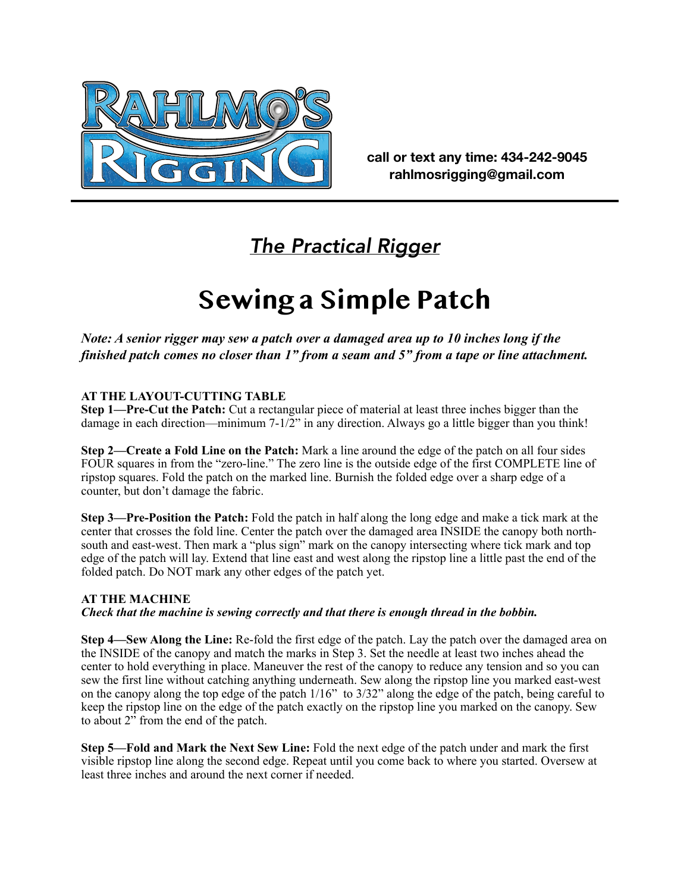

**call or text any time: 434-242-9045 rahlmosrigging@gmail.com**

# *The Practical Rigger*

# **Sewing a Simple Patch**

*Note: A senior rigger may sew a patch over a damaged area up to 10 inches long if the finished patch comes no closer than 1" from a seam and 5" from a tape or line attachment.* 

## **AT THE LAYOUT-CUTTING TABLE**

**Step 1—Pre-Cut the Patch:** Cut a rectangular piece of material at least three inches bigger than the damage in each direction—minimum 7-1/2" in any direction. Always go a little bigger than you think!

**Step 2—Create a Fold Line on the Patch:** Mark a line around the edge of the patch on all four sides FOUR squares in from the "zero-line." The zero line is the outside edge of the first COMPLETE line of ripstop squares. Fold the patch on the marked line. Burnish the folded edge over a sharp edge of a counter, but don't damage the fabric.

**Step 3—Pre-Position the Patch:** Fold the patch in half along the long edge and make a tick mark at the center that crosses the fold line. Center the patch over the damaged area INSIDE the canopy both northsouth and east-west. Then mark a "plus sign" mark on the canopy intersecting where tick mark and top edge of the patch will lay. Extend that line east and west along the ripstop line a little past the end of the folded patch. Do NOT mark any other edges of the patch yet.

### **AT THE MACHINE**

#### *Check that the machine is sewing correctly and that there is enough thread in the bobbin.*

**Step 4—Sew Along the Line:** Re-fold the first edge of the patch. Lay the patch over the damaged area on the INSIDE of the canopy and match the marks in Step 3. Set the needle at least two inches ahead the center to hold everything in place. Maneuver the rest of the canopy to reduce any tension and so you can sew the first line without catching anything underneath. Sew along the ripstop line you marked east-west on the canopy along the top edge of the patch 1/16" to 3/32" along the edge of the patch, being careful to keep the ripstop line on the edge of the patch exactly on the ripstop line you marked on the canopy. Sew to about 2" from the end of the patch.

**Step 5—Fold and Mark the Next Sew Line:** Fold the next edge of the patch under and mark the first visible ripstop line along the second edge. Repeat until you come back to where you started. Oversew at least three inches and around the next corner if needed.